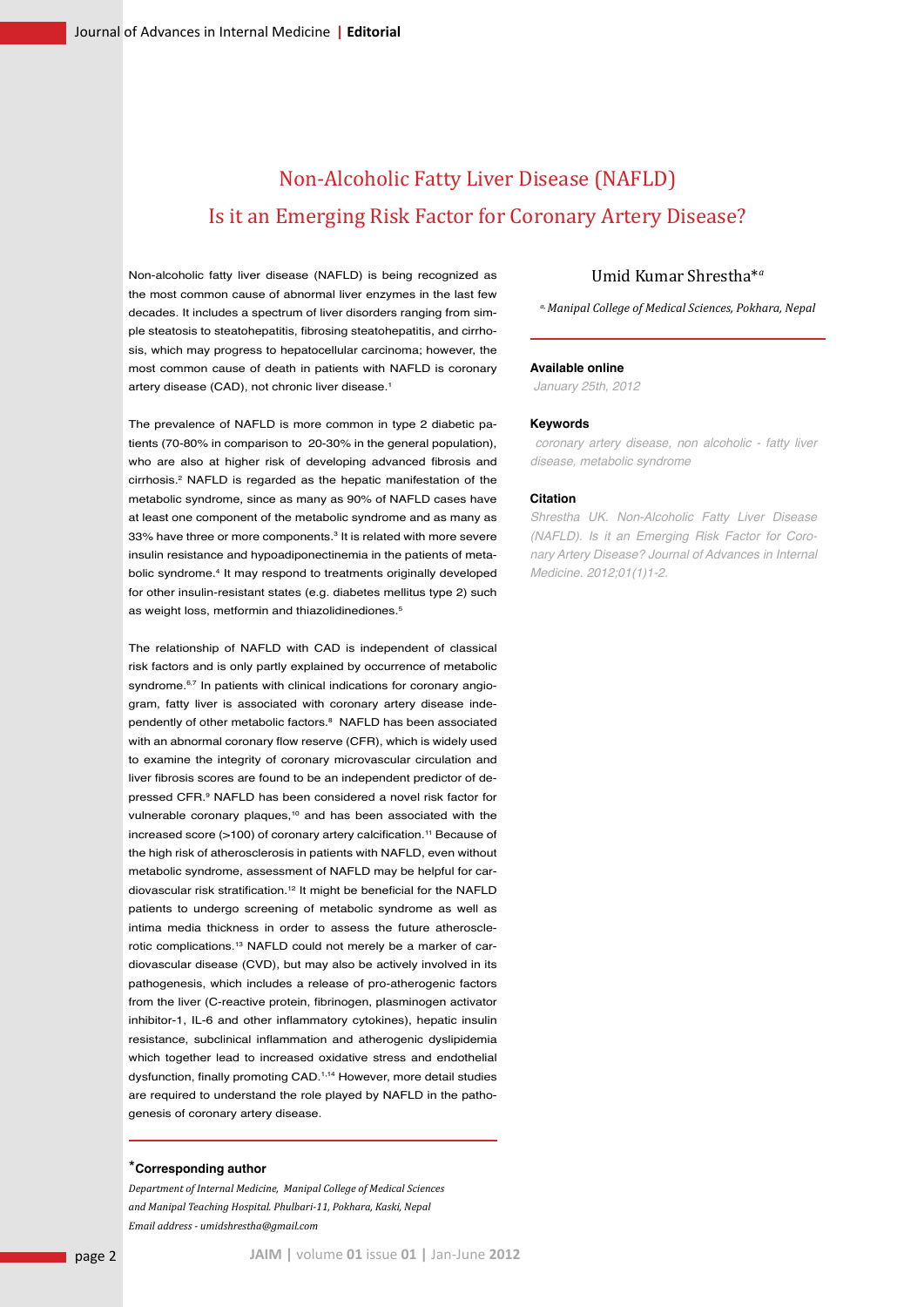# Non-Alcoholic Fatty Liver Disease (NAFLD) Is it an Emerging Risk Factor for Coronary Artery Disease?

Non-alcoholic fatty liver disease (NAFLD) is being recognized as the most common cause of abnormal liver enzymes in the last few decades. It includes a spectrum of liver disorders ranging from simple steatosis to steatohepatitis, fibrosing steatohepatitis, and cirrhosis, which may progress to hepatocellular carcinoma; however, the most common cause of death in patients with NAFLD is coronary artery disease (CAD), not chronic liver disease.<sup>1</sup>

The prevalence of NAFLD is more common in type 2 diabetic patients (70-80% in comparison to 20-30% in the general population), who are also at higher risk of developing advanced fibrosis and cirrhosis.2 NAFLD is regarded as the hepatic manifestation of the metabolic syndrome, since as many as 90% of NAFLD cases have at least one component of the metabolic syndrome and as many as 33% have three or more components.<sup>3</sup> It is related with more severe insulin resistance and hypoadiponectinemia in the patients of metabolic syndrome.4 It may respond to treatments originally developed for other insulin-resistant states (e.g. diabetes mellitus type 2) such as weight loss, metformin and thiazolidinediones.<sup>5</sup>

The relationship of NAFLD with CAD is independent of classical risk factors and is only partly explained by occurrence of metabolic syndrome.<sup>6,7</sup> In patients with clinical indications for coronary angiogram, fatty liver is associated with coronary artery disease independently of other metabolic factors.<sup>8</sup> NAFLD has been associated with an abnormal coronary flow reserve (CFR), which is widely used to examine the integrity of coronary microvascular circulation and liver fibrosis scores are found to be an independent predictor of depressed CFR.9 NAFLD has been considered a novel risk factor for vulnerable coronary plaques,<sup>10</sup> and has been associated with the increased score (>100) of coronary artery calcification.<sup>11</sup> Because of the high risk of atherosclerosis in patients with NAFLD, even without metabolic syndrome, assessment of NAFLD may be helpful for cardiovascular risk stratification.12 It might be beneficial for the NAFLD patients to undergo screening of metabolic syndrome as well as intima media thickness in order to assess the future atherosclerotic complications.13 NAFLD could not merely be a marker of cardiovascular disease (CVD), but may also be actively involved in its pathogenesis, which includes a release of pro-atherogenic factors from the liver (C-reactive protein, fibrinogen, plasminogen activator inhibitor-1, IL-6 and other inflammatory cytokines), hepatic insulin resistance, subclinical inflammation and atherogenic dyslipidemia which together lead to increased oxidative stress and endothelial dysfunction, finally promoting CAD.1,14 However, more detail studies are required to understand the role played by NAFLD in the pathogenesis of coronary artery disease.

#### \***Corresponding author**

*Department of Internal Medicine, Manipal College of Medical Sciences and Manipal Teaching Hospital. Phulbari-11, Pokhara, Kaski, Nepal Email address - umidshrestha@gmail.com*

# Umid Kumar Shrestha\**<sup>a</sup>*

*a, Manipal College of Medical Sciences, Pokhara, Nepal*

## **Available online**

 *January 25th, 2012*

#### **Keywords**

 *coronary artery disease, non alcoholic - fatty liver disease, metabolic syndrome*

#### **Citation**

*Shrestha UK. Non-Alcoholic Fatty Liver Disease (NAFLD). Is it an Emerging Risk Factor for Coronary Artery Disease? Journal of Advances in Internal Medicine. 2012;01(1)1-2.*